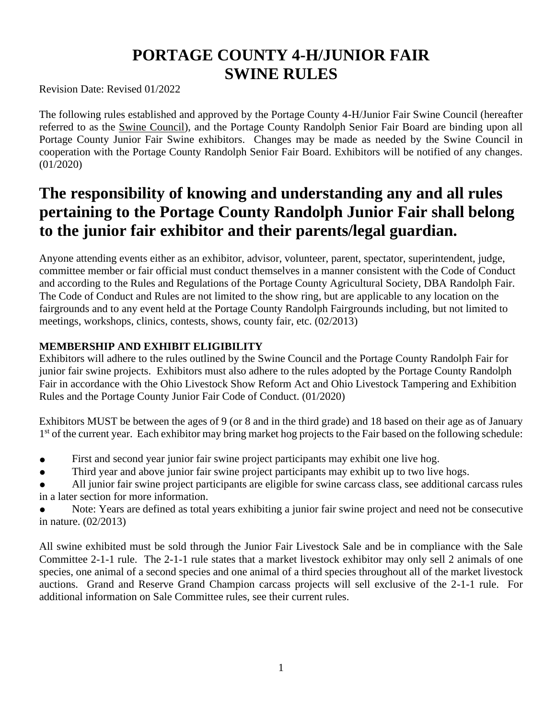# **PORTAGE COUNTY 4-H/JUNIOR FAIR SWINE RULES**

Revision Date: Revised 01/2022

The following rules established and approved by the Portage County 4-H/Junior Fair Swine Council (hereafter referred to as the Swine Council), and the Portage County Randolph Senior Fair Board are binding upon all Portage County Junior Fair Swine exhibitors. Changes may be made as needed by the Swine Council in cooperation with the Portage County Randolph Senior Fair Board. Exhibitors will be notified of any changes. (01/2020)

# **The responsibility of knowing and understanding any and all rules pertaining to the Portage County Randolph Junior Fair shall belong to the junior fair exhibitor and their parents/legal guardian.**

Anyone attending events either as an exhibitor, advisor, volunteer, parent, spectator, superintendent, judge, committee member or fair official must conduct themselves in a manner consistent with the Code of Conduct and according to the Rules and Regulations of the Portage County Agricultural Society, DBA Randolph Fair. The Code of Conduct and Rules are not limited to the show ring, but are applicable to any location on the fairgrounds and to any event held at the Portage County Randolph Fairgrounds including, but not limited to meetings, workshops, clinics, contests, shows, county fair, etc. (02/2013)

# **MEMBERSHIP AND EXHIBIT ELIGIBILITY**

Exhibitors will adhere to the rules outlined by the Swine Council and the Portage County Randolph Fair for junior fair swine projects. Exhibitors must also adhere to the rules adopted by the Portage County Randolph Fair in accordance with the Ohio Livestock Show Reform Act and Ohio Livestock Tampering and Exhibition Rules and the Portage County Junior Fair Code of Conduct. (01/2020)

Exhibitors MUST be between the ages of 9 (or 8 and in the third grade) and 18 based on their age as of January 1<sup>st</sup> of the current year. Each exhibitor may bring market hog projects to the Fair based on the following schedule:

- First and second year junior fair swine project participants may exhibit one live hog.
- Third year and above junior fair swine project participants may exhibit up to two live hogs.
- All junior fair swine project participants are eligible for swine carcass class, see additional carcass rules in a later section for more information.
- Note: Years are defined as total years exhibiting a junior fair swine project and need not be consecutive in nature. (02/2013)

All swine exhibited must be sold through the Junior Fair Livestock Sale and be in compliance with the Sale Committee 2-1-1 rule. The 2-1-1 rule states that a market livestock exhibitor may only sell 2 animals of one species, one animal of a second species and one animal of a third species throughout all of the market livestock auctions. Grand and Reserve Grand Champion carcass projects will sell exclusive of the 2-1-1 rule. For additional information on Sale Committee rules, see their current rules.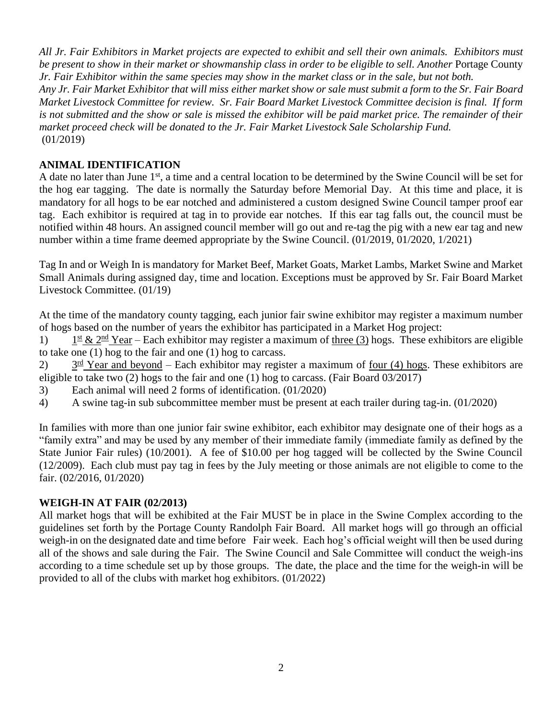*All Jr. Fair Exhibitors in Market projects are expected to exhibit and sell their own animals. Exhibitors must be present to show in their market or showmanship class in order to be eligible to sell. Another* Portage County *Jr. Fair Exhibitor within the same species may show in the market class or in the sale, but not both.*

*Any Jr. Fair Market Exhibitor that will miss either market show or sale must submit a form to the Sr. Fair Board Market Livestock Committee for review. Sr. Fair Board Market Livestock Committee decision is final. If form is not submitted and the show or sale is missed the exhibitor will be paid market price. The remainder of their market proceed check will be donated to the Jr. Fair Market Livestock Sale Scholarship Fund.*  (01/2019)

## **ANIMAL IDENTIFICATION**

A date no later than June 1<sup>st</sup>, a time and a central location to be determined by the Swine Council will be set for the hog ear tagging. The date is normally the Saturday before Memorial Day. At this time and place, it is mandatory for all hogs to be ear notched and administered a custom designed Swine Council tamper proof ear tag. Each exhibitor is required at tag in to provide ear notches. If this ear tag falls out, the council must be notified within 48 hours. An assigned council member will go out and re-tag the pig with a new ear tag and new number within a time frame deemed appropriate by the Swine Council. (01/2019, 01/2020, 1/2021)

Tag In and or Weigh In is mandatory for Market Beef, Market Goats, Market Lambs, Market Swine and Market Small Animals during assigned day, time and location. Exceptions must be approved by Sr. Fair Board Market Livestock Committee. (01/19)

At the time of the mandatory county tagging, each junior fair swine exhibitor may register a maximum number of hogs based on the number of years the exhibitor has participated in a Market Hog project:

1)  $1^{\text{st}}$  &  $2^{\text{nd}}$  Year – Each exhibitor may register a maximum of three (3) hogs. These exhibitors are eligible to take one (1) hog to the fair and one (1) hog to carcass.

 $(2)$  $3<sup>rd</sup>$  Year and beyond – Each exhibitor may register a maximum of four (4) hogs. These exhibitors are eligible to take two (2) hogs to the fair and one (1) hog to carcass. (Fair Board 03/2017)

- 3) Each animal will need 2 forms of identification. (01/2020)
- 4) A swine tag-in sub subcommittee member must be present at each trailer during tag-in. (01/2020)

In families with more than one junior fair swine exhibitor, each exhibitor may designate one of their hogs as a "family extra" and may be used by any member of their immediate family (immediate family as defined by the State Junior Fair rules) (10/2001). A fee of \$10.00 per hog tagged will be collected by the Swine Council (12/2009). Each club must pay tag in fees by the July meeting or those animals are not eligible to come to the fair. (02/2016, 01/2020)

## **WEIGH-IN AT FAIR (02/2013)**

All market hogs that will be exhibited at the Fair MUST be in place in the Swine Complex according to the guidelines set forth by the Portage County Randolph Fair Board. All market hogs will go through an official weigh-in on the designated date and time before Fair week. Each hog's official weight will then be used during all of the shows and sale during the Fair. The Swine Council and Sale Committee will conduct the weigh-ins according to a time schedule set up by those groups. The date, the place and the time for the weigh-in will be provided to all of the clubs with market hog exhibitors. (01/2022)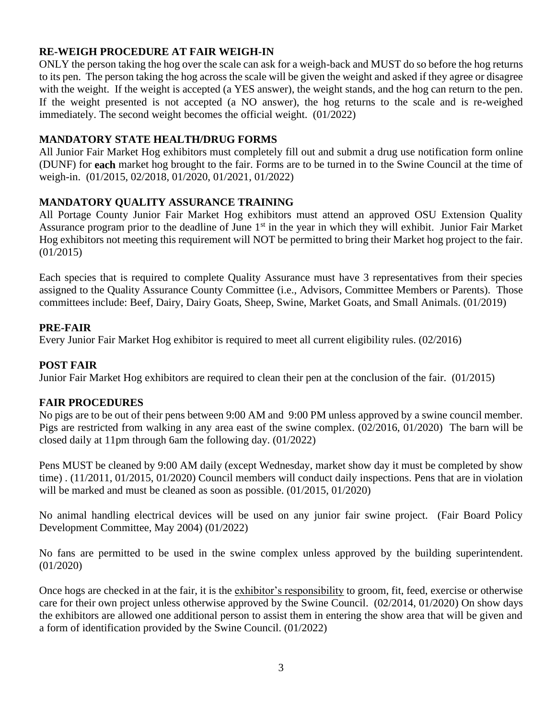## **RE-WEIGH PROCEDURE AT FAIR WEIGH-IN**

ONLY the person taking the hog over the scale can ask for a weigh-back and MUST do so before the hog returns to its pen. The person taking the hog across the scale will be given the weight and asked if they agree or disagree with the weight. If the weight is accepted (a YES answer), the weight stands, and the hog can return to the pen. If the weight presented is not accepted (a NO answer), the hog returns to the scale and is re-weighed immediately. The second weight becomes the official weight. (01/2022)

## **MANDATORY STATE HEALTH/DRUG FORMS**

All Junior Fair Market Hog exhibitors must completely fill out and submit a drug use notification form online (DUNF) for **each** market hog brought to the fair. Forms are to be turned in to the Swine Council at the time of weigh-in. (01/2015, 02/2018, 01/2020, 01/2021, 01/2022)

## **MANDATORY QUALITY ASSURANCE TRAINING**

All Portage County Junior Fair Market Hog exhibitors must attend an approved OSU Extension Quality Assurance program prior to the deadline of June 1<sup>st</sup> in the year in which they will exhibit. Junior Fair Market Hog exhibitors not meeting this requirement will NOT be permitted to bring their Market hog project to the fair. (01/2015)

Each species that is required to complete Quality Assurance must have 3 representatives from their species assigned to the Quality Assurance County Committee (i.e., Advisors, Committee Members or Parents). Those committees include: Beef, Dairy, Dairy Goats, Sheep, Swine, Market Goats, and Small Animals. (01/2019)

## **PRE-FAIR**

Every Junior Fair Market Hog exhibitor is required to meet all current eligibility rules. (02/2016)

### **POST FAIR**

Junior Fair Market Hog exhibitors are required to clean their pen at the conclusion of the fair. (01/2015)

#### **FAIR PROCEDURES**

No pigs are to be out of their pens between 9:00 AM and 9:00 PM unless approved by a swine council member. Pigs are restricted from walking in any area east of the swine complex. (02/2016, 01/2020) The barn will be closed daily at 11pm through 6am the following day. (01/2022)

Pens MUST be cleaned by 9:00 AM daily (except Wednesday, market show day it must be completed by show time) . (11/2011, 01/2015, 01/2020) Council members will conduct daily inspections. Pens that are in violation will be marked and must be cleaned as soon as possible.  $(01/2015, 01/2020)$ 

No animal handling electrical devices will be used on any junior fair swine project. (Fair Board Policy Development Committee, May 2004) (01/2022)

No fans are permitted to be used in the swine complex unless approved by the building superintendent. (01/2020)

Once hogs are checked in at the fair, it is the exhibitor's responsibility to groom, fit, feed, exercise or otherwise care for their own project unless otherwise approved by the Swine Council. (02/2014, 01/2020) On show days the exhibitors are allowed one additional person to assist them in entering the show area that will be given and a form of identification provided by the Swine Council. (01/2022)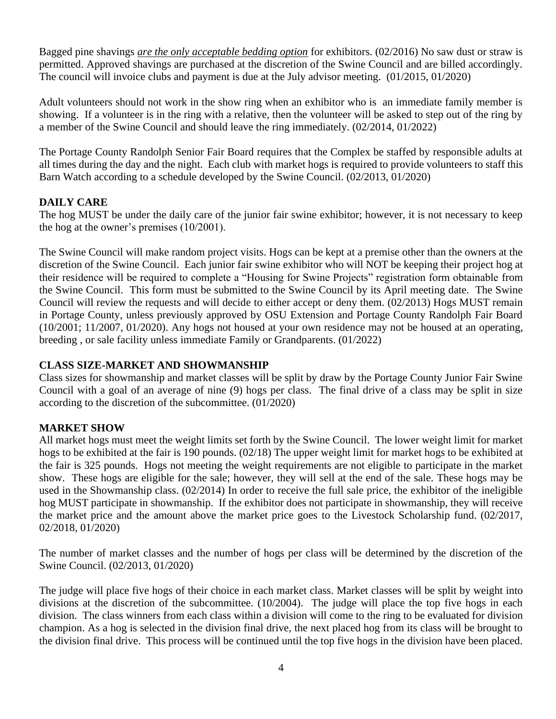Bagged pine shavings *are the only acceptable bedding option* for exhibitors. (02/2016) No saw dust or straw is permitted. Approved shavings are purchased at the discretion of the Swine Council and are billed accordingly. The council will invoice clubs and payment is due at the July advisor meeting. (01/2015, 01/2020)

Adult volunteers should not work in the show ring when an exhibitor who is an immediate family member is showing. If a volunteer is in the ring with a relative, then the volunteer will be asked to step out of the ring by a member of the Swine Council and should leave the ring immediately. (02/2014, 01/2022)

The Portage County Randolph Senior Fair Board requires that the Complex be staffed by responsible adults at all times during the day and the night. Each club with market hogs is required to provide volunteers to staff this Barn Watch according to a schedule developed by the Swine Council. (02/2013, 01/2020)

## **DAILY CARE**

The hog MUST be under the daily care of the junior fair swine exhibitor; however, it is not necessary to keep the hog at the owner's premises (10/2001).

The Swine Council will make random project visits. Hogs can be kept at a premise other than the owners at the discretion of the Swine Council. Each junior fair swine exhibitor who will NOT be keeping their project hog at their residence will be required to complete a "Housing for Swine Projects" registration form obtainable from the Swine Council. This form must be submitted to the Swine Council by its April meeting date. The Swine Council will review the requests and will decide to either accept or deny them. (02/2013) Hogs MUST remain in Portage County, unless previously approved by OSU Extension and Portage County Randolph Fair Board (10/2001; 11/2007, 01/2020). Any hogs not housed at your own residence may not be housed at an operating, breeding , or sale facility unless immediate Family or Grandparents. (01/2022)

## **CLASS SIZE-MARKET AND SHOWMANSHIP**

Class sizes for showmanship and market classes will be split by draw by the Portage County Junior Fair Swine Council with a goal of an average of nine (9) hogs per class. The final drive of a class may be split in size according to the discretion of the subcommittee. (01/2020)

# **MARKET SHOW**

All market hogs must meet the weight limits set forth by the Swine Council. The lower weight limit for market hogs to be exhibited at the fair is 190 pounds. (02/18) The upper weight limit for market hogs to be exhibited at the fair is 325 pounds. Hogs not meeting the weight requirements are not eligible to participate in the market show. These hogs are eligible for the sale; however, they will sell at the end of the sale. These hogs may be used in the Showmanship class. (02/2014) In order to receive the full sale price, the exhibitor of the ineligible hog MUST participate in showmanship. If the exhibitor does not participate in showmanship, they will receive the market price and the amount above the market price goes to the Livestock Scholarship fund. (02/2017, 02/2018, 01/2020)

The number of market classes and the number of hogs per class will be determined by the discretion of the Swine Council. (02/2013, 01/2020)

The judge will place five hogs of their choice in each market class. Market classes will be split by weight into divisions at the discretion of the subcommittee. (10/2004). The judge will place the top five hogs in each division. The class winners from each class within a division will come to the ring to be evaluated for division champion. As a hog is selected in the division final drive, the next placed hog from its class will be brought to the division final drive. This process will be continued until the top five hogs in the division have been placed.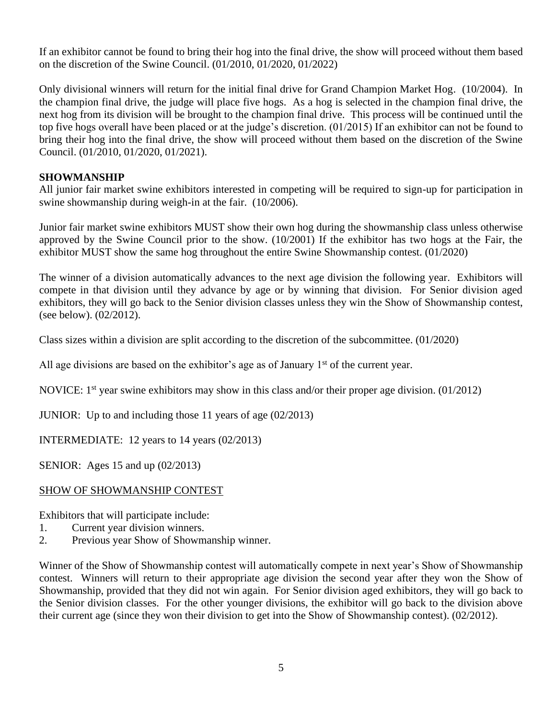If an exhibitor cannot be found to bring their hog into the final drive, the show will proceed without them based on the discretion of the Swine Council. (01/2010, 01/2020, 01/2022)

Only divisional winners will return for the initial final drive for Grand Champion Market Hog. (10/2004). In the champion final drive, the judge will place five hogs. As a hog is selected in the champion final drive, the next hog from its division will be brought to the champion final drive. This process will be continued until the top five hogs overall have been placed or at the judge's discretion. (01/2015) If an exhibitor can not be found to bring their hog into the final drive, the show will proceed without them based on the discretion of the Swine Council. (01/2010, 01/2020, 01/2021).

## **SHOWMANSHIP**

All junior fair market swine exhibitors interested in competing will be required to sign-up for participation in swine showmanship during weigh-in at the fair. (10/2006).

Junior fair market swine exhibitors MUST show their own hog during the showmanship class unless otherwise approved by the Swine Council prior to the show. (10/2001) If the exhibitor has two hogs at the Fair, the exhibitor MUST show the same hog throughout the entire Swine Showmanship contest. (01/2020)

The winner of a division automatically advances to the next age division the following year. Exhibitors will compete in that division until they advance by age or by winning that division. For Senior division aged exhibitors, they will go back to the Senior division classes unless they win the Show of Showmanship contest, (see below). (02/2012).

Class sizes within a division are split according to the discretion of the subcommittee. (01/2020)

All age divisions are based on the exhibitor's age as of January  $1<sup>st</sup>$  of the current year.

NOVICE: 1<sup>st</sup> year swine exhibitors may show in this class and/or their proper age division. (01/2012)

JUNIOR: Up to and including those 11 years of age (02/2013)

INTERMEDIATE: 12 years to 14 years (02/2013)

SENIOR: Ages 15 and up (02/2013)

# SHOW OF SHOWMANSHIP CONTEST

Exhibitors that will participate include:

- 1. Current year division winners.
- 2. Previous year Show of Showmanship winner.

Winner of the Show of Showmanship contest will automatically compete in next year's Show of Showmanship contest. Winners will return to their appropriate age division the second year after they won the Show of Showmanship, provided that they did not win again. For Senior division aged exhibitors, they will go back to the Senior division classes. For the other younger divisions, the exhibitor will go back to the division above their current age (since they won their division to get into the Show of Showmanship contest). (02/2012).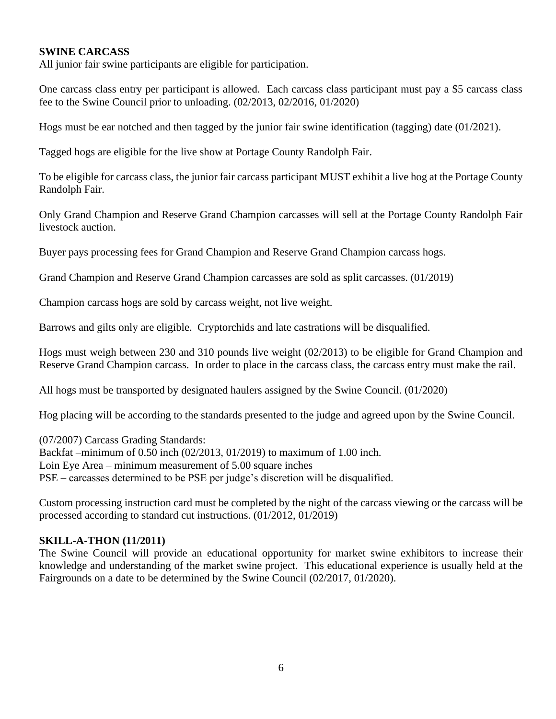## **SWINE CARCASS**

All junior fair swine participants are eligible for participation.

One carcass class entry per participant is allowed. Each carcass class participant must pay a \$5 carcass class fee to the Swine Council prior to unloading. (02/2013, 02/2016, 01/2020)

Hogs must be ear notched and then tagged by the junior fair swine identification (tagging) date (01/2021).

Tagged hogs are eligible for the live show at Portage County Randolph Fair.

To be eligible for carcass class, the junior fair carcass participant MUST exhibit a live hog at the Portage County Randolph Fair.

Only Grand Champion and Reserve Grand Champion carcasses will sell at the Portage County Randolph Fair livestock auction.

Buyer pays processing fees for Grand Champion and Reserve Grand Champion carcass hogs.

Grand Champion and Reserve Grand Champion carcasses are sold as split carcasses. (01/2019)

Champion carcass hogs are sold by carcass weight, not live weight.

Barrows and gilts only are eligible. Cryptorchids and late castrations will be disqualified.

Hogs must weigh between 230 and 310 pounds live weight (02/2013) to be eligible for Grand Champion and Reserve Grand Champion carcass. In order to place in the carcass class, the carcass entry must make the rail.

All hogs must be transported by designated haulers assigned by the Swine Council. (01/2020)

Hog placing will be according to the standards presented to the judge and agreed upon by the Swine Council.

(07/2007) Carcass Grading Standards: Backfat –minimum of 0.50 inch (02/2013, 01/2019) to maximum of 1.00 inch. Loin Eye Area – minimum measurement of 5.00 square inches PSE – carcasses determined to be PSE per judge's discretion will be disqualified.

Custom processing instruction card must be completed by the night of the carcass viewing or the carcass will be processed according to standard cut instructions. (01/2012, 01/2019)

## **SKILL-A-THON (11/2011)**

The Swine Council will provide an educational opportunity for market swine exhibitors to increase their knowledge and understanding of the market swine project. This educational experience is usually held at the Fairgrounds on a date to be determined by the Swine Council (02/2017, 01/2020).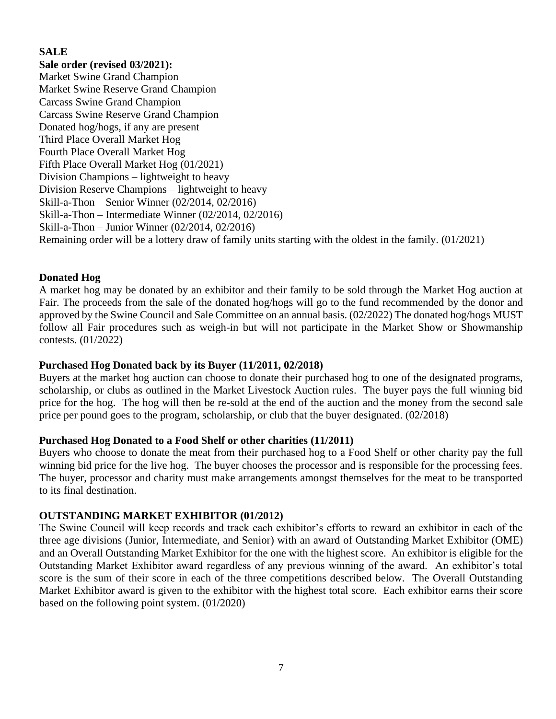## **SALE**

**Sale order (revised 03/2021):**

Market Swine Grand Champion Market Swine Reserve Grand Champion Carcass Swine Grand Champion Carcass Swine Reserve Grand Champion Donated hog/hogs, if any are present Third Place Overall Market Hog Fourth Place Overall Market Hog Fifth Place Overall Market Hog (01/2021) Division Champions – lightweight to heavy Division Reserve Champions – lightweight to heavy Skill-a-Thon – Senior Winner (02/2014, 02/2016) Skill-a-Thon – Intermediate Winner (02/2014, 02/2016) Skill-a-Thon – Junior Winner (02/2014, 02/2016) Remaining order will be a lottery draw of family units starting with the oldest in the family. (01/2021)

## **Donated Hog**

A market hog may be donated by an exhibitor and their family to be sold through the Market Hog auction at Fair. The proceeds from the sale of the donated hog/hogs will go to the fund recommended by the donor and approved by the Swine Council and Sale Committee on an annual basis. (02/2022) The donated hog/hogs MUST follow all Fair procedures such as weigh-in but will not participate in the Market Show or Showmanship contests. (01/2022)

#### **Purchased Hog Donated back by its Buyer (11/2011, 02/2018)**

Buyers at the market hog auction can choose to donate their purchased hog to one of the designated programs, scholarship, or clubs as outlined in the Market Livestock Auction rules. The buyer pays the full winning bid price for the hog. The hog will then be re-sold at the end of the auction and the money from the second sale price per pound goes to the program, scholarship, or club that the buyer designated. (02/2018)

#### **Purchased Hog Donated to a Food Shelf or other charities (11/2011)**

Buyers who choose to donate the meat from their purchased hog to a Food Shelf or other charity pay the full winning bid price for the live hog. The buyer chooses the processor and is responsible for the processing fees. The buyer, processor and charity must make arrangements amongst themselves for the meat to be transported to its final destination.

#### **OUTSTANDING MARKET EXHIBITOR (01/2012)**

The Swine Council will keep records and track each exhibitor's efforts to reward an exhibitor in each of the three age divisions (Junior, Intermediate, and Senior) with an award of Outstanding Market Exhibitor (OME) and an Overall Outstanding Market Exhibitor for the one with the highest score. An exhibitor is eligible for the Outstanding Market Exhibitor award regardless of any previous winning of the award. An exhibitor's total score is the sum of their score in each of the three competitions described below. The Overall Outstanding Market Exhibitor award is given to the exhibitor with the highest total score. Each exhibitor earns their score based on the following point system. (01/2020)